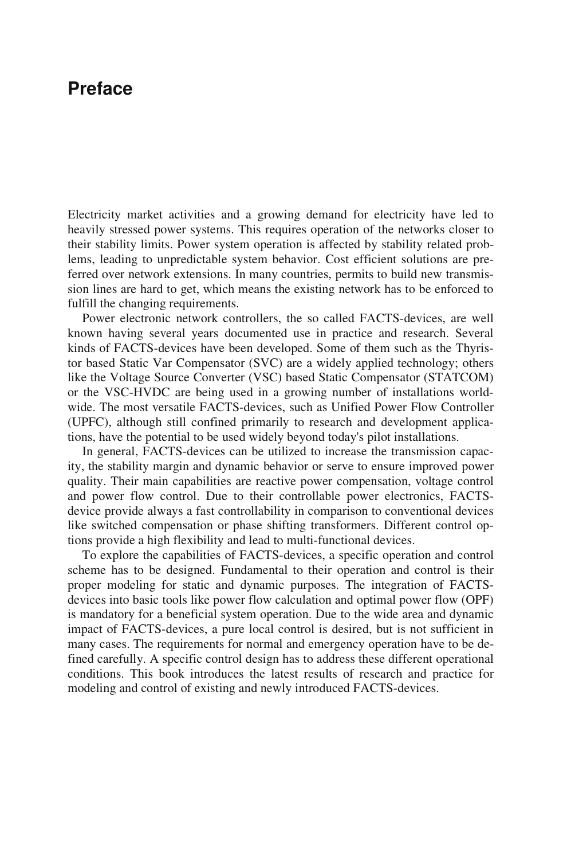# **Preface**

Electricity market activities and a growing demand for electricity have led to heavily stressed power systems. This requires operation of the networks closer to their stability limits. Power system operation is affected by stability related problems, leading to unpredictable system behavior. Cost efficient solutions are preferred over network extensions. In many countries, permits to build new transmission lines are hard to get, which means the existing network has to be enforced to fulfill the changing requirements.

Power electronic network controllers, the so called FACTS-devices, are well known having several years documented use in practice and research. Several kinds of FACTS-devices have been developed. Some of them such as the Thyristor based Static Var Compensator (SVC) are a widely applied technology; others like the Voltage Source Converter (VSC) based Static Compensator (STATCOM) or the VSC-HVDC are being used in a growing number of installations worldwide. The most versatile FACTS-devices, such as Unified Power Flow Controller (UPFC), although still confined primarily to research and development applications, have the potential to be used widely beyond today's pilot installations.

In general, FACTS-devices can be utilized to increase the transmission capacity, the stability margin and dynamic behavior or serve to ensure improved power quality. Their main capabilities are reactive power compensation, voltage control and power flow control. Due to their controllable power electronics, FACTSdevice provide always a fast controllability in comparison to conventional devices like switched compensation or phase shifting transformers. Different control options provide a high flexibility and lead to multi-functional devices.

To explore the capabilities of FACTS-devices, a specific operation and control scheme has to be designed. Fundamental to their operation and control is their proper modeling for static and dynamic purposes. The integration of FACTSdevices into basic tools like power flow calculation and optimal power flow (OPF) is mandatory for a beneficial system operation. Due to the wide area and dynamic impact of FACTS-devices, a pure local control is desired, but is not sufficient in many cases. The requirements for normal and emergency operation have to be defined carefully. A specific control design has to address these different operational conditions. This book introduces the latest results of research and practice for modeling and control of existing and newly introduced FACTS-devices.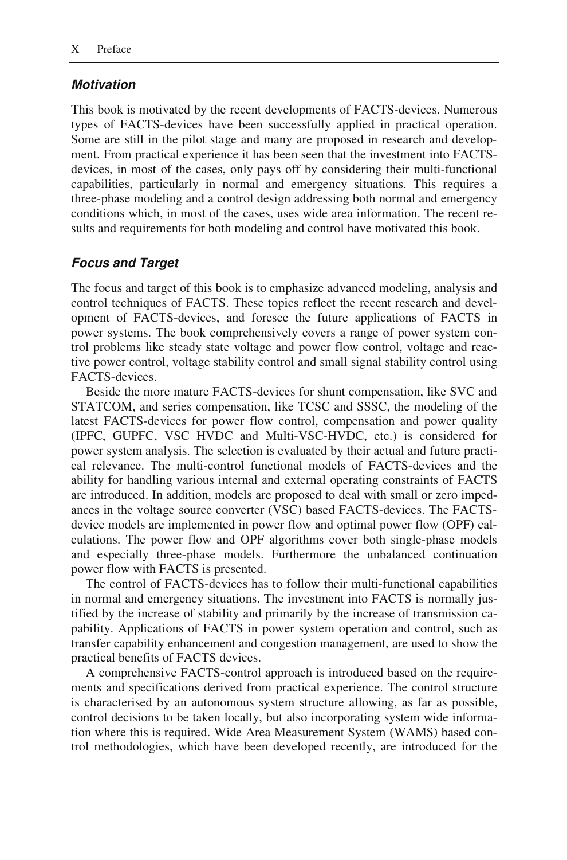## *Motivation*

This book is motivated by the recent developments of FACTS-devices. Numerous types of FACTS-devices have been successfully applied in practical operation. Some are still in the pilot stage and many are proposed in research and development. From practical experience it has been seen that the investment into FACTSdevices, in most of the cases, only pays off by considering their multi-functional capabilities, particularly in normal and emergency situations. This requires a three-phase modeling and a control design addressing both normal and emergency conditions which, in most of the cases, uses wide area information. The recent results and requirements for both modeling and control have motivated this book.

## *Focus and Target*

The focus and target of this book is to emphasize advanced modeling, analysis and control techniques of FACTS. These topics reflect the recent research and development of FACTS-devices, and foresee the future applications of FACTS in power systems. The book comprehensively covers a range of power system control problems like steady state voltage and power flow control, voltage and reactive power control, voltage stability control and small signal stability control using FACTS-devices.

Beside the more mature FACTS-devices for shunt compensation, like SVC and STATCOM, and series compensation, like TCSC and SSSC, the modeling of the latest FACTS-devices for power flow control, compensation and power quality (IPFC, GUPFC, VSC HVDC and Multi-VSC-HVDC, etc.) is considered for power system analysis. The selection is evaluated by their actual and future practical relevance. The multi-control functional models of FACTS-devices and the ability for handling various internal and external operating constraints of FACTS are introduced. In addition, models are proposed to deal with small or zero impedances in the voltage source converter (VSC) based FACTS-devices. The FACTSdevice models are implemented in power flow and optimal power flow (OPF) calculations. The power flow and OPF algorithms cover both single-phase models and especially three-phase models. Furthermore the unbalanced continuation power flow with FACTS is presented.

The control of FACTS-devices has to follow their multi-functional capabilities in normal and emergency situations. The investment into FACTS is normally justified by the increase of stability and primarily by the increase of transmission capability. Applications of FACTS in power system operation and control, such as transfer capability enhancement and congestion management, are used to show the practical benefits of FACTS devices.

A comprehensive FACTS-control approach is introduced based on the requirements and specifications derived from practical experience. The control structure is characterised by an autonomous system structure allowing, as far as possible, control decisions to be taken locally, but also incorporating system wide information where this is required. Wide Area Measurement System (WAMS) based control methodologies, which have been developed recently, are introduced for the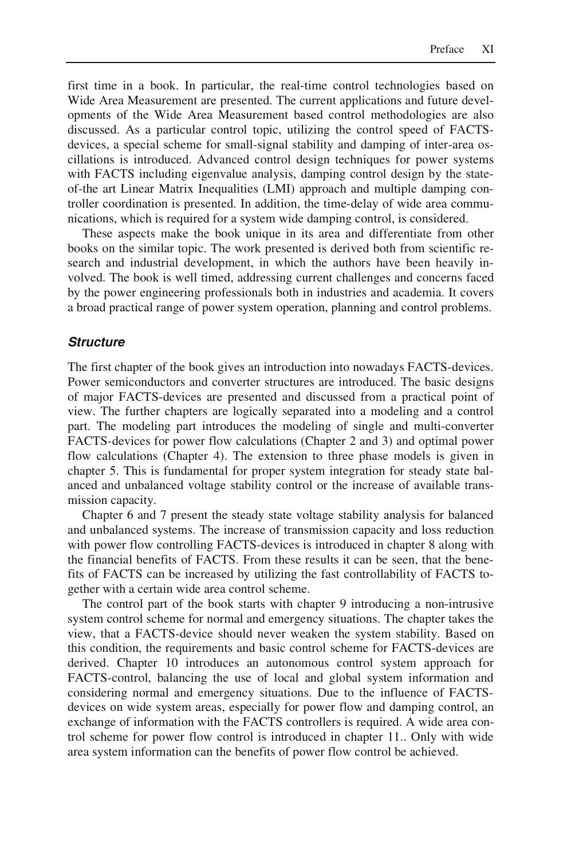first time in a book. In particular, the real-time control technologies based on Wide Area Measurement are presented. The current applications and future developments of the Wide Area Measurement based control methodologies are also discussed. As a particular control topic, utilizing the control speed of FACTSdevices, a special scheme for small-signal stability and damping of inter-area oscillations is introduced. Advanced control design techniques for power systems with FACTS including eigenvalue analysis, damping control design by the stateof-the art Linear Matrix Inequalities (LMI) approach and multiple damping controller coordination is presented. In addition, the time-delay of wide area communications, which is required for a system wide damping control, is considered.

These aspects make the book unique in its area and differentiate from other books on the similar topic. The work presented is derived both from scientific research and industrial development, in which the authors have been heavily involved. The book is well timed, addressing current challenges and concerns faced by the power engineering professionals both in industries and academia. It covers a broad practical range of power system operation, planning and control problems.

### *Structure*

The first chapter of the book gives an introduction into nowadays FACTS-devices. Power semiconductors and converter structures are introduced. The basic designs of major FACTS-devices are presented and discussed from a practical point of view. The further chapters are logically separated into a modeling and a control part. The modeling part introduces the modeling of single and multi-converter FACTS-devices for power flow calculations (Chapter 2 and 3) and optimal power flow calculations (Chapter 4). The extension to three phase models is given in chapter 5. This is fundamental for proper system integration for steady state balanced and unbalanced voltage stability control or the increase of available transmission capacity.

Chapter 6 and 7 present the steady state voltage stability analysis for balanced and unbalanced systems. The increase of transmission capacity and loss reduction with power flow controlling FACTS-devices is introduced in chapter 8 along with the financial benefits of FACTS. From these results it can be seen, that the benefits of FACTS can be increased by utilizing the fast controllability of FACTS together with a certain wide area control scheme.

The control part of the book starts with chapter 9 introducing a non-intrusive system control scheme for normal and emergency situations. The chapter takes the view, that a FACTS-device should never weaken the system stability. Based on this condition, the requirements and basic control scheme for FACTS-devices are derived. Chapter 10 introduces an autonomous control system approach for FACTS-control, balancing the use of local and global system information and considering normal and emergency situations. Due to the influence of FACTSdevices on wide system areas, especially for power flow and damping control, an exchange of information with the FACTS controllers is required. A wide area control scheme for power flow control is introduced in chapter 11.. Only with wide area system information can the benefits of power flow control be achieved.